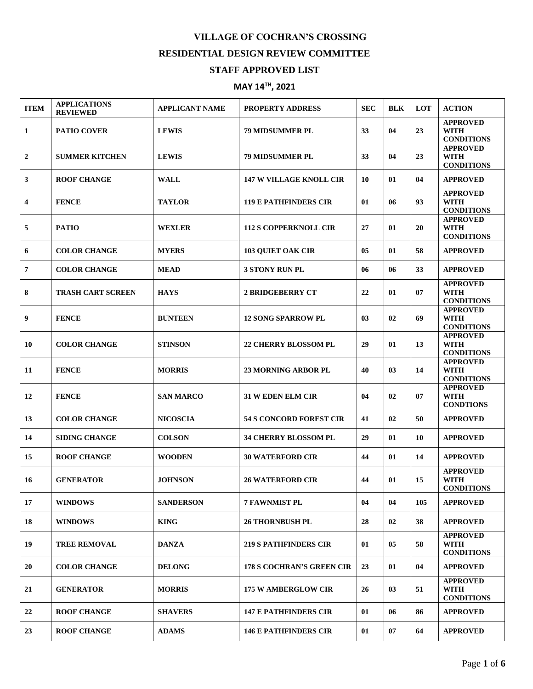## **VILLAGE OF COCHRAN'S CROSSING RESIDENTIAL DESIGN REVIEW COMMITTEE**

## **STAFF APPROVED LIST**

## **MAY 14TH, 2021**

| <b>ITEM</b>    | <b>APPLICATIONS</b><br><b>REVIEWED</b> | <b>APPLICANT NAME</b> | <b>PROPERTY ADDRESS</b>          | <b>SEC</b> | <b>BLK</b> | <b>LOT</b> | <b>ACTION</b>                                       |
|----------------|----------------------------------------|-----------------------|----------------------------------|------------|------------|------------|-----------------------------------------------------|
| 1              | <b>PATIO COVER</b>                     | <b>LEWIS</b>          | <b>79 MIDSUMMER PL</b>           | 33         | 04         | 23         | <b>APPROVED</b><br><b>WITH</b><br><b>CONDITIONS</b> |
| $\mathbf{2}$   | <b>SUMMER KITCHEN</b>                  | <b>LEWIS</b>          | <b>79 MIDSUMMER PL</b>           | 33         | 04         | 23         | <b>APPROVED</b><br><b>WITH</b><br><b>CONDITIONS</b> |
| 3              | <b>ROOF CHANGE</b>                     | <b>WALL</b>           | <b>147 W VILLAGE KNOLL CIR</b>   | 10         | 01         | 04         | <b>APPROVED</b>                                     |
| 4              | <b>FENCE</b>                           | <b>TAYLOR</b>         | <b>119 E PATHFINDERS CIR</b>     | 01         | 06         | 93         | <b>APPROVED</b><br>WITH<br><b>CONDITIONS</b>        |
| 5              | <b>PATIO</b>                           | <b>WEXLER</b>         | <b>112 S COPPERKNOLL CIR</b>     | 27         | 01         | 20         | <b>APPROVED</b><br><b>WITH</b><br><b>CONDITIONS</b> |
| 6              | <b>COLOR CHANGE</b>                    | <b>MYERS</b>          | <b>103 QUIET OAK CIR</b>         | 05         | 01         | 58         | <b>APPROVED</b>                                     |
| $\overline{7}$ | <b>COLOR CHANGE</b>                    | <b>MEAD</b>           | <b>3 STONY RUN PL</b>            | 06         | 06         | 33         | <b>APPROVED</b>                                     |
| 8              | <b>TRASH CART SCREEN</b>               | <b>HAYS</b>           | <b>2 BRIDGEBERRY CT</b>          | 22         | 01         | 07         | <b>APPROVED</b><br><b>WITH</b><br><b>CONDITIONS</b> |
| 9              | <b>FENCE</b>                           | <b>BUNTEEN</b>        | <b>12 SONG SPARROW PL</b>        | 03         | 02         | 69         | <b>APPROVED</b><br><b>WITH</b><br><b>CONDITIONS</b> |
| 10             | <b>COLOR CHANGE</b>                    | <b>STINSON</b>        | <b>22 CHERRY BLOSSOM PL</b>      | 29         | 01         | 13         | <b>APPROVED</b><br><b>WITH</b><br><b>CONDITIONS</b> |
| 11             | <b>FENCE</b>                           | <b>MORRIS</b>         | <b>23 MORNING ARBOR PL</b>       | 40         | 03         | 14         | <b>APPROVED</b><br><b>WITH</b><br><b>CONDITIONS</b> |
| 12             | <b>FENCE</b>                           | <b>SAN MARCO</b>      | <b>31 W EDEN ELM CIR</b>         | 04         | 02         | 07         | <b>APPROVED</b><br><b>WITH</b><br><b>CONDTIONS</b>  |
| 13             | <b>COLOR CHANGE</b>                    | <b>NICOSCIA</b>       | <b>54 S CONCORD FOREST CIR</b>   | 41         | 02         | 50         | <b>APPROVED</b>                                     |
| 14             | <b>SIDING CHANGE</b>                   | <b>COLSON</b>         | <b>34 CHERRY BLOSSOM PL</b>      | 29         | 01         | 10         | <b>APPROVED</b>                                     |
| 15             | <b>ROOF CHANGE</b>                     | <b>WOODEN</b>         | <b>30 WATERFORD CIR</b>          | 44         | 01         | 14         | <b>APPROVED</b>                                     |
| 16             | <b>GENERATOR</b>                       | <b>JOHNSON</b>        | <b>26 WATERFORD CIR</b>          | 44         | 01         | 15         | <b>APPROVED</b><br><b>WITH</b><br><b>CONDITIONS</b> |
| 17             | <b>WINDOWS</b>                         | <b>SANDERSON</b>      | <b>7 FAWNMIST PL</b>             | 04         | 04         | 105        | <b>APPROVED</b>                                     |
| 18             | <b>WINDOWS</b>                         | <b>KING</b>           | <b>26 THORNBUSH PL</b>           | 28         | 02         | 38         | <b>APPROVED</b>                                     |
| 19             | <b>TREE REMOVAL</b>                    | <b>DANZA</b>          | <b>219 S PATHFINDERS CIR</b>     | 01         | 05         | 58         | <b>APPROVED</b><br>WITH<br><b>CONDITIONS</b>        |
| 20             | <b>COLOR CHANGE</b>                    | <b>DELONG</b>         | <b>178 S COCHRAN'S GREEN CIR</b> | 23         | 01         | 04         | <b>APPROVED</b>                                     |
| 21             | <b>GENERATOR</b>                       | <b>MORRIS</b>         | <b>175 W AMBERGLOW CIR</b>       | 26         | 03         | 51         | <b>APPROVED</b><br><b>WITH</b><br><b>CONDITIONS</b> |
| 22             | <b>ROOF CHANGE</b>                     | <b>SHAVERS</b>        | <b>147 E PATHFINDERS CIR</b>     | 01         | 06         | 86         | <b>APPROVED</b>                                     |
| 23             | <b>ROOF CHANGE</b>                     | <b>ADAMS</b>          | <b>146 E PATHFINDERS CIR</b>     | 01         | 07         | 64         | <b>APPROVED</b>                                     |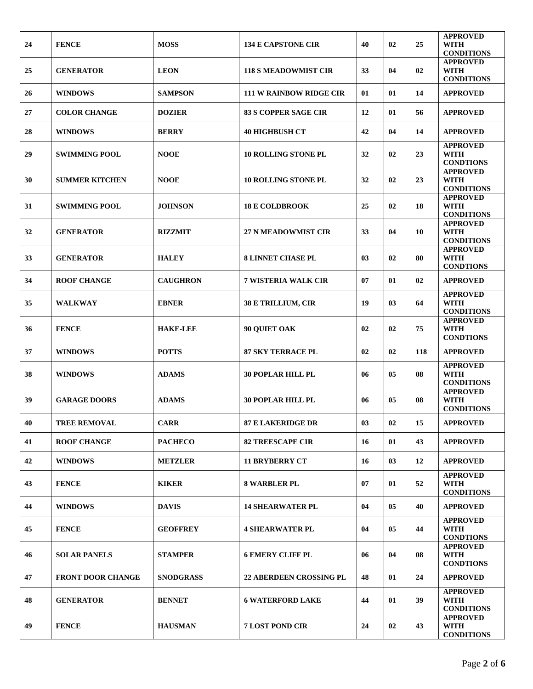| 24 | <b>FENCE</b>             | <b>MOSS</b>      | <b>134 E CAPSTONE CIR</b>      | 40 | 02 | 25  | <b>APPROVED</b><br><b>WITH</b><br><b>CONDITIONS</b> |
|----|--------------------------|------------------|--------------------------------|----|----|-----|-----------------------------------------------------|
| 25 | <b>GENERATOR</b>         | <b>LEON</b>      | <b>118 S MEADOWMIST CIR</b>    | 33 | 04 | 02  | <b>APPROVED</b><br><b>WITH</b>                      |
| 26 | <b>WINDOWS</b>           | <b>SAMPSON</b>   | <b>111 W RAINBOW RIDGE CIR</b> | 01 | 01 | 14  | <b>CONDITIONS</b><br><b>APPROVED</b>                |
| 27 | <b>COLOR CHANGE</b>      | <b>DOZIER</b>    | <b>83 S COPPER SAGE CIR</b>    | 12 | 01 | 56  | <b>APPROVED</b>                                     |
| 28 | <b>WINDOWS</b>           | <b>BERRY</b>     | <b>40 HIGHBUSH CT</b>          | 42 | 04 | 14  | <b>APPROVED</b>                                     |
| 29 | <b>SWIMMING POOL</b>     | <b>NOOE</b>      | <b>10 ROLLING STONE PL</b>     | 32 | 02 | 23  | <b>APPROVED</b><br><b>WITH</b><br><b>CONDTIONS</b>  |
| 30 | <b>SUMMER KITCHEN</b>    | <b>NOOE</b>      | <b>10 ROLLING STONE PL</b>     | 32 | 02 | 23  | <b>APPROVED</b><br><b>WITH</b><br><b>CONDITIONS</b> |
| 31 | <b>SWIMMING POOL</b>     | <b>JOHNSON</b>   | <b>18 E COLDBROOK</b>          | 25 | 02 | 18  | <b>APPROVED</b><br><b>WITH</b><br><b>CONDITIONS</b> |
| 32 | <b>GENERATOR</b>         | <b>RIZZMIT</b>   | <b>27 N MEADOWMIST CIR</b>     | 33 | 04 | 10  | <b>APPROVED</b><br><b>WITH</b><br><b>CONDITIONS</b> |
| 33 | <b>GENERATOR</b>         | <b>HALEY</b>     | <b>8 LINNET CHASE PL</b>       | 03 | 02 | 80  | <b>APPROVED</b><br><b>WITH</b><br><b>CONDTIONS</b>  |
| 34 | <b>ROOF CHANGE</b>       | <b>CAUGHRON</b>  | <b>7 WISTERIA WALK CIR</b>     | 07 | 01 | 02  | <b>APPROVED</b>                                     |
| 35 | <b>WALKWAY</b>           | <b>EBNER</b>     | 38 E TRILLIUM, CIR             | 19 | 03 | 64  | <b>APPROVED</b><br><b>WITH</b><br><b>CONDITIONS</b> |
| 36 | <b>FENCE</b>             | <b>HAKE-LEE</b>  | 90 QUIET OAK                   | 02 | 02 | 75  | <b>APPROVED</b><br><b>WITH</b><br><b>CONDTIONS</b>  |
| 37 | <b>WINDOWS</b>           | <b>POTTS</b>     | <b>87 SKY TERRACE PL</b>       | 02 | 02 | 118 | <b>APPROVED</b>                                     |
| 38 | <b>WINDOWS</b>           | <b>ADAMS</b>     | <b>30 POPLAR HILL PL</b>       | 06 | 05 | 08  | <b>APPROVED</b><br><b>WITH</b><br><b>CONDITIONS</b> |
| 39 | <b>GARAGE DOORS</b>      | <b>ADAMS</b>     | <b>30 POPLAR HILL PL</b>       | 06 | 05 | 08  | <b>APPROVED</b><br><b>WITH</b><br><b>CONDITIONS</b> |
| 40 | <b>TREE REMOVAL</b>      | <b>CARR</b>      | <b>87 E LAKERIDGE DR</b>       | 03 | 02 | 15  | <b>APPROVED</b>                                     |
| 41 | <b>ROOF CHANGE</b>       | <b>PACHECO</b>   | <b>82 TREESCAPE CIR</b>        | 16 | 01 | 43  | <b>APPROVED</b>                                     |
| 42 | <b>WINDOWS</b>           | <b>METZLER</b>   | <b>11 BRYBERRY CT</b>          | 16 | 03 | 12  | <b>APPROVED</b>                                     |
| 43 | <b>FENCE</b>             | <b>KIKER</b>     | <b>8 WARBLER PL</b>            | 07 | 01 | 52  | <b>APPROVED</b><br><b>WITH</b><br><b>CONDITIONS</b> |
| 44 | <b>WINDOWS</b>           | <b>DAVIS</b>     | <b>14 SHEARWATER PL</b>        | 04 | 05 | 40  | <b>APPROVED</b>                                     |
| 45 | <b>FENCE</b>             | <b>GEOFFREY</b>  | <b>4 SHEARWATER PL</b>         | 04 | 05 | 44  | <b>APPROVED</b><br><b>WITH</b><br><b>CONDTIONS</b>  |
| 46 | <b>SOLAR PANELS</b>      | <b>STAMPER</b>   | <b>6 EMERY CLIFF PL</b>        | 06 | 04 | 08  | <b>APPROVED</b><br><b>WITH</b><br><b>CONDTIONS</b>  |
| 47 | <b>FRONT DOOR CHANGE</b> | <b>SNODGRASS</b> | <b>22 ABERDEEN CROSSING PL</b> | 48 | 01 | 24  | <b>APPROVED</b>                                     |
| 48 | <b>GENERATOR</b>         | <b>BENNET</b>    | <b>6 WATERFORD LAKE</b>        | 44 | 01 | 39  | <b>APPROVED</b><br><b>WITH</b><br><b>CONDITIONS</b> |
| 49 | <b>FENCE</b>             | <b>HAUSMAN</b>   | <b>7 LOST POND CIR</b>         | 24 | 02 | 43  | <b>APPROVED</b><br><b>WITH</b><br><b>CONDITIONS</b> |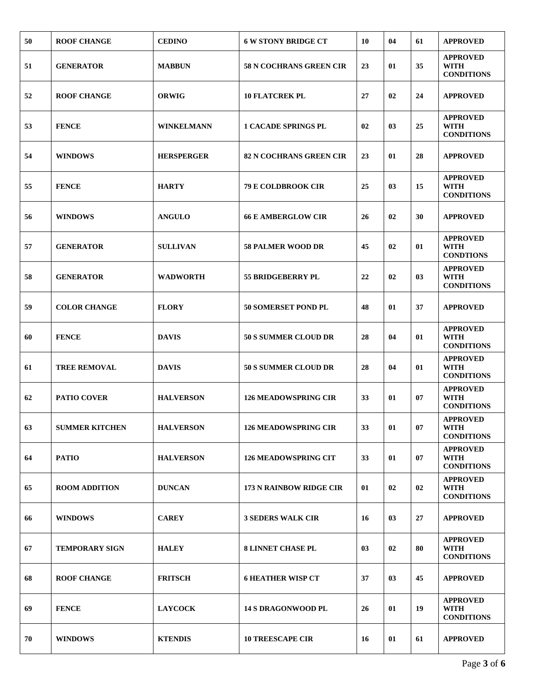| 50 | <b>ROOF CHANGE</b>    | <b>CEDINO</b>     | <b>6 W STONY BRIDGE CT</b>     | 10 | 04 | 61 | <b>APPROVED</b>                                     |
|----|-----------------------|-------------------|--------------------------------|----|----|----|-----------------------------------------------------|
| 51 | <b>GENERATOR</b>      | <b>MABBUN</b>     | <b>58 N COCHRANS GREEN CIR</b> | 23 | 01 | 35 | <b>APPROVED</b><br><b>WITH</b><br><b>CONDITIONS</b> |
| 52 | <b>ROOF CHANGE</b>    | <b>ORWIG</b>      | <b>10 FLATCREK PL</b>          | 27 | 02 | 24 | <b>APPROVED</b>                                     |
| 53 | <b>FENCE</b>          | <b>WINKELMANN</b> | <b>1 CACADE SPRINGS PL</b>     | 02 | 03 | 25 | <b>APPROVED</b><br><b>WITH</b><br><b>CONDITIONS</b> |
| 54 | <b>WINDOWS</b>        | <b>HERSPERGER</b> | 82 N COCHRANS GREEN CIR        | 23 | 01 | 28 | <b>APPROVED</b>                                     |
| 55 | <b>FENCE</b>          | <b>HARTY</b>      | <b>79 E COLDBROOK CIR</b>      | 25 | 03 | 15 | <b>APPROVED</b><br><b>WITH</b><br><b>CONDITIONS</b> |
| 56 | <b>WINDOWS</b>        | <b>ANGULO</b>     | <b>66 E AMBERGLOW CIR</b>      | 26 | 02 | 30 | <b>APPROVED</b>                                     |
| 57 | <b>GENERATOR</b>      | <b>SULLIVAN</b>   | <b>58 PALMER WOOD DR</b>       | 45 | 02 | 01 | <b>APPROVED</b><br><b>WITH</b><br><b>CONDTIONS</b>  |
| 58 | <b>GENERATOR</b>      | <b>WADWORTH</b>   | <b>55 BRIDGEBERRY PL</b>       | 22 | 02 | 03 | <b>APPROVED</b><br><b>WITH</b><br><b>CONDITIONS</b> |
| 59 | <b>COLOR CHANGE</b>   | <b>FLORY</b>      | 50 SOMERSET POND PL            | 48 | 01 | 37 | <b>APPROVED</b>                                     |
| 60 | <b>FENCE</b>          | <b>DAVIS</b>      | <b>50 S SUMMER CLOUD DR</b>    | 28 | 04 | 01 | <b>APPROVED</b><br><b>WITH</b><br><b>CONDITIONS</b> |
| 61 | <b>TREE REMOVAL</b>   | <b>DAVIS</b>      | <b>50 S SUMMER CLOUD DR</b>    | 28 | 04 | 01 | <b>APPROVED</b><br><b>WITH</b><br><b>CONDITIONS</b> |
| 62 | <b>PATIO COVER</b>    | <b>HALVERSON</b>  | <b>126 MEADOWSPRING CIR</b>    | 33 | 01 | 07 | <b>APPROVED</b><br>WITH<br><b>CONDITIONS</b>        |
| 63 | <b>SUMMER KITCHEN</b> | <b>HALVERSON</b>  | <b>126 MEADOWSPRING CIR</b>    | 33 | 01 | 07 | <b>APPROVED</b><br><b>WITH</b><br><b>CONDITIONS</b> |
| 64 | <b>PATIO</b>          | <b>HALVERSON</b>  | <b>126 MEADOWSPRING CIT</b>    | 33 | 01 | 07 | <b>APPROVED</b><br><b>WITH</b><br><b>CONDITIONS</b> |
| 65 | <b>ROOM ADDITION</b>  | <b>DUNCAN</b>     | <b>173 N RAINBOW RIDGE CIR</b> | 01 | 02 | 02 | <b>APPROVED</b><br><b>WITH</b><br><b>CONDITIONS</b> |
| 66 | <b>WINDOWS</b>        | <b>CAREY</b>      | <b>3 SEDERS WALK CIR</b>       | 16 | 03 | 27 | <b>APPROVED</b>                                     |
| 67 | <b>TEMPORARY SIGN</b> | <b>HALEY</b>      | <b>8 LINNET CHASE PL</b>       | 03 | 02 | 80 | <b>APPROVED</b><br><b>WITH</b><br><b>CONDITIONS</b> |
| 68 | <b>ROOF CHANGE</b>    | <b>FRITSCH</b>    | <b>6 HEATHER WISP CT</b>       | 37 | 03 | 45 | <b>APPROVED</b>                                     |
| 69 | <b>FENCE</b>          | <b>LAYCOCK</b>    | <b>14 S DRAGONWOOD PL</b>      | 26 | 01 | 19 | <b>APPROVED</b><br><b>WITH</b><br><b>CONDITIONS</b> |
| 70 | <b>WINDOWS</b>        | <b>KTENDIS</b>    | <b>10 TREESCAPE CIR</b>        | 16 | 01 | 61 | <b>APPROVED</b>                                     |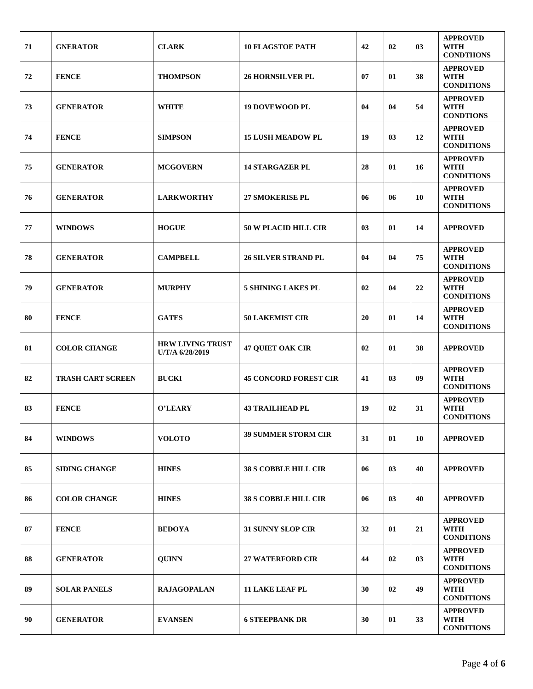| 71 | <b>GNERATOR</b>          | <b>CLARK</b>                               | <b>10 FLAGSTOE PATH</b>      | 42 | 02 | 03 | <b>APPROVED</b><br>WITH<br><b>CONDTIIONS</b>        |
|----|--------------------------|--------------------------------------------|------------------------------|----|----|----|-----------------------------------------------------|
| 72 | <b>FENCE</b>             | <b>THOMPSON</b>                            | <b>26 HORNSILVER PL</b>      | 07 | 01 | 38 | <b>APPROVED</b><br><b>WITH</b><br><b>CONDITIONS</b> |
| 73 | <b>GENERATOR</b>         | <b>WHITE</b>                               | <b>19 DOVEWOOD PL</b>        | 04 | 04 | 54 | <b>APPROVED</b><br><b>WITH</b><br><b>CONDTIONS</b>  |
| 74 | <b>FENCE</b>             | <b>SIMPSON</b>                             | <b>15 LUSH MEADOW PL</b>     | 19 | 03 | 12 | <b>APPROVED</b><br><b>WITH</b><br><b>CONDITIONS</b> |
| 75 | <b>GENERATOR</b>         | <b>MCGOVERN</b>                            | <b>14 STARGAZER PL</b>       | 28 | 01 | 16 | <b>APPROVED</b><br><b>WITH</b><br><b>CONDITIONS</b> |
| 76 | <b>GENERATOR</b>         | <b>LARKWORTHY</b>                          | <b>27 SMOKERISE PL</b>       | 06 | 06 | 10 | <b>APPROVED</b><br><b>WITH</b><br><b>CONDITIONS</b> |
| 77 | <b>WINDOWS</b>           | <b>HOGUE</b>                               | <b>50 W PLACID HILL CIR</b>  | 03 | 01 | 14 | <b>APPROVED</b>                                     |
| 78 | <b>GENERATOR</b>         | <b>CAMPBELL</b>                            | <b>26 SILVER STRAND PL</b>   | 04 | 04 | 75 | <b>APPROVED</b><br><b>WITH</b><br><b>CONDITIONS</b> |
| 79 | <b>GENERATOR</b>         | <b>MURPHY</b>                              | <b>5 SHINING LAKES PL</b>    | 02 | 04 | 22 | <b>APPROVED</b><br><b>WITH</b><br><b>CONDITIONS</b> |
| 80 | <b>FENCE</b>             | <b>GATES</b>                               | <b>50 LAKEMIST CIR</b>       | 20 | 01 | 14 | <b>APPROVED</b><br><b>WITH</b><br><b>CONDITIONS</b> |
| 81 | <b>COLOR CHANGE</b>      | <b>HRW LIVING TRUST</b><br>U/T/A 6/28/2019 | <b>47 QUIET OAK CIR</b>      | 02 | 01 | 38 | <b>APPROVED</b>                                     |
| 82 | <b>TRASH CART SCREEN</b> | <b>BUCKI</b>                               | <b>45 CONCORD FOREST CIR</b> | 41 | 03 | 09 | <b>APPROVED</b><br><b>WITH</b><br><b>CONDITIONS</b> |
| 83 | <b>FENCE</b>             | O'LEARY                                    | <b>43 TRAILHEAD PL</b>       | 19 | 02 | 31 | <b>APPROVED</b><br><b>WITH</b><br><b>CONDITIONS</b> |
| 84 | <b>WINDOWS</b>           | <b>VOLOTO</b>                              | <b>39 SUMMER STORM CIR</b>   | 31 | 01 | 10 | <b>APPROVED</b>                                     |
| 85 | SIDING CHANGE            | <b>HINES</b>                               | <b>38 S COBBLE HILL CIR</b>  | 06 | 03 | 40 | <b>APPROVED</b>                                     |
| 86 | <b>COLOR CHANGE</b>      | <b>HINES</b>                               | <b>38 S COBBLE HILL CIR</b>  | 06 | 03 | 40 | <b>APPROVED</b>                                     |
| 87 | <b>FENCE</b>             | <b>BEDOYA</b>                              | <b>31 SUNNY SLOP CIR</b>     | 32 | 01 | 21 | <b>APPROVED</b><br><b>WITH</b><br><b>CONDITIONS</b> |
| 88 | <b>GENERATOR</b>         | <b>QUINN</b>                               | <b>27 WATERFORD CIR</b>      | 44 | 02 | 03 | <b>APPROVED</b><br><b>WITH</b><br><b>CONDITIONS</b> |
| 89 | <b>SOLAR PANELS</b>      | <b>RAJAGOPALAN</b>                         | <b>11 LAKE LEAF PL</b>       | 30 | 02 | 49 | <b>APPROVED</b><br><b>WITH</b><br><b>CONDITIONS</b> |
| 90 | <b>GENERATOR</b>         | <b>EVANSEN</b>                             | <b>6 STEEPBANK DR</b>        | 30 | 01 | 33 | <b>APPROVED</b><br>WITH<br><b>CONDITIONS</b>        |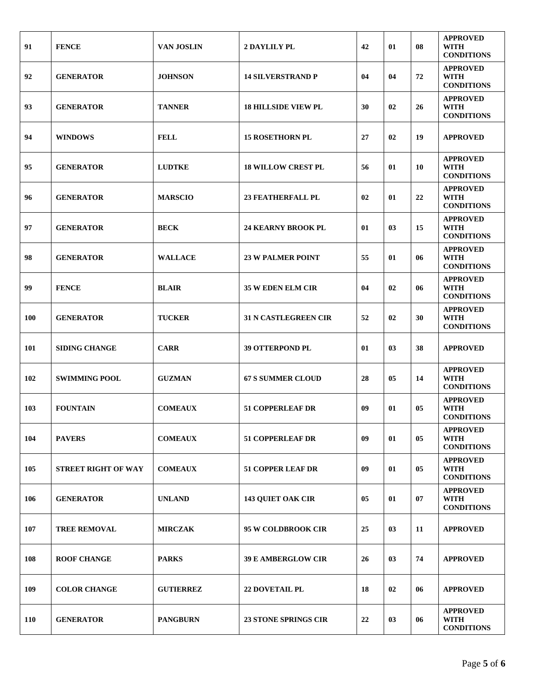| 91         | <b>FENCE</b>               | <b>VAN JOSLIN</b> | <b>2 DAYLILY PL</b>         | 42 | 01 | 08 | <b>APPROVED</b><br>WITH<br><b>CONDITIONS</b>        |
|------------|----------------------------|-------------------|-----------------------------|----|----|----|-----------------------------------------------------|
| 92         | <b>GENERATOR</b>           | <b>JOHNSON</b>    | <b>14 SILVERSTRAND P</b>    | 04 | 04 | 72 | <b>APPROVED</b><br><b>WITH</b><br><b>CONDITIONS</b> |
| 93         | <b>GENERATOR</b>           | <b>TANNER</b>     | <b>18 HILLSIDE VIEW PL</b>  | 30 | 02 | 26 | <b>APPROVED</b><br><b>WITH</b><br><b>CONDITIONS</b> |
| 94         | <b>WINDOWS</b>             | <b>FELL</b>       | <b>15 ROSETHORN PL</b>      | 27 | 02 | 19 | <b>APPROVED</b>                                     |
| 95         | <b>GENERATOR</b>           | <b>LUDTKE</b>     | <b>18 WILLOW CREST PL</b>   | 56 | 01 | 10 | <b>APPROVED</b><br><b>WITH</b><br><b>CONDITIONS</b> |
| 96         | <b>GENERATOR</b>           | <b>MARSCIO</b>    | <b>23 FEATHERFALL PL</b>    | 02 | 01 | 22 | <b>APPROVED</b><br><b>WITH</b><br><b>CONDITIONS</b> |
| 97         | <b>GENERATOR</b>           | <b>BECK</b>       | <b>24 KEARNY BROOK PL</b>   | 01 | 03 | 15 | <b>APPROVED</b><br><b>WITH</b><br><b>CONDITIONS</b> |
| 98         | <b>GENERATOR</b>           | <b>WALLACE</b>    | <b>23 W PALMER POINT</b>    | 55 | 01 | 06 | <b>APPROVED</b><br><b>WITH</b><br><b>CONDITIONS</b> |
| 99         | <b>FENCE</b>               | <b>BLAIR</b>      | <b>35 W EDEN ELM CIR</b>    | 04 | 02 | 06 | <b>APPROVED</b><br>WITH<br><b>CONDITIONS</b>        |
| <b>100</b> | <b>GENERATOR</b>           | <b>TUCKER</b>     | <b>31 N CASTLEGREEN CIR</b> | 52 | 02 | 30 | <b>APPROVED</b><br><b>WITH</b><br><b>CONDITIONS</b> |
| 101        | <b>SIDING CHANGE</b>       | <b>CARR</b>       | <b>39 OTTERPOND PL</b>      | 01 | 03 | 38 | <b>APPROVED</b>                                     |
| 102        | <b>SWIMMING POOL</b>       | <b>GUZMAN</b>     | <b>67 S SUMMER CLOUD</b>    | 28 | 05 | 14 | <b>APPROVED</b><br><b>WITH</b><br><b>CONDITIONS</b> |
| 103        | <b>FOUNTAIN</b>            | <b>COMEAUX</b>    | <b>51 COPPERLEAF DR</b>     | 09 | 01 | 05 | <b>APPROVED</b><br><b>WITH</b><br><b>CONDITIONS</b> |
| 104        | <b>PAVERS</b>              | <b>COMEAUX</b>    | <b>51 COPPERLEAF DR</b>     | 09 | 01 | 05 | <b>APPROVED</b><br><b>WITH</b><br><b>CONDITIONS</b> |
| 105        | <b>STREET RIGHT OF WAY</b> | <b>COMEAUX</b>    | <b>51 COPPER LEAF DR</b>    | 09 | 01 | 05 | <b>APPROVED</b><br><b>WITH</b><br><b>CONDITIONS</b> |
| 106        | <b>GENERATOR</b>           | <b>UNLAND</b>     | <b>143 QUIET OAK CIR</b>    | 05 | 01 | 07 | <b>APPROVED</b><br><b>WITH</b><br><b>CONDITIONS</b> |
| 107        | <b>TREE REMOVAL</b>        | <b>MIRCZAK</b>    | 95 W COLDBROOK CIR          | 25 | 03 | 11 | <b>APPROVED</b>                                     |
| 108        | <b>ROOF CHANGE</b>         | <b>PARKS</b>      | <b>39 E AMBERGLOW CIR</b>   | 26 | 03 | 74 | <b>APPROVED</b>                                     |
| 109        | <b>COLOR CHANGE</b>        | <b>GUTIERREZ</b>  | <b>22 DOVETAIL PL</b>       | 18 | 02 | 06 | <b>APPROVED</b>                                     |
| <b>110</b> | <b>GENERATOR</b>           | <b>PANGBURN</b>   | <b>23 STONE SPRINGS CIR</b> | 22 | 03 | 06 | <b>APPROVED</b><br>WITH<br><b>CONDITIONS</b>        |